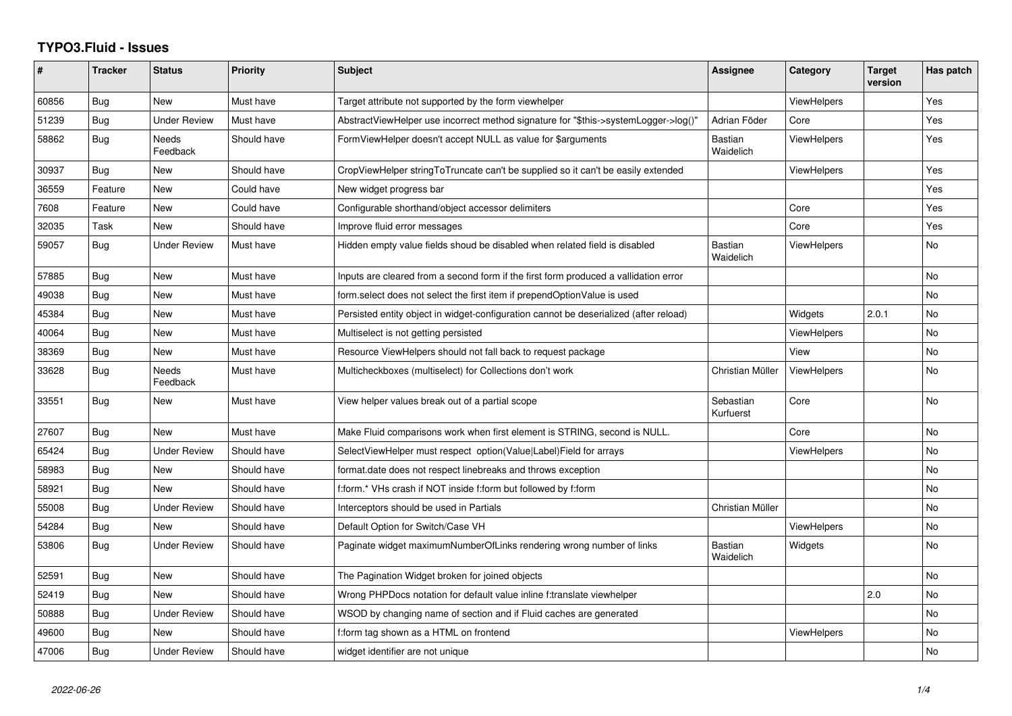## **TYPO3.Fluid - Issues**

| ∦     | <b>Tracker</b> | <b>Status</b>            | <b>Priority</b> | <b>Subject</b>                                                                        | Assignee                    | Category           | <b>Target</b><br>version | Has patch |
|-------|----------------|--------------------------|-----------------|---------------------------------------------------------------------------------------|-----------------------------|--------------------|--------------------------|-----------|
| 60856 | Bug            | <b>New</b>               | Must have       | Target attribute not supported by the form viewhelper                                 |                             | ViewHelpers        |                          | Yes       |
| 51239 | Bug            | Under Review             | Must have       | AbstractViewHelper use incorrect method signature for "\$this->systemLogger->log()"   | Adrian Föder                | Core               |                          | Yes       |
| 58862 | Bug            | <b>Needs</b><br>Feedback | Should have     | FormViewHelper doesn't accept NULL as value for \$arguments                           | <b>Bastian</b><br>Waidelich | <b>ViewHelpers</b> |                          | Yes       |
| 30937 | Bug            | New                      | Should have     | CropViewHelper stringToTruncate can't be supplied so it can't be easily extended      |                             | ViewHelpers        |                          | Yes       |
| 36559 | Feature        | <b>New</b>               | Could have      | New widget progress bar                                                               |                             |                    |                          | Yes       |
| 7608  | Feature        | New                      | Could have      | Configurable shorthand/object accessor delimiters                                     |                             | Core               |                          | Yes       |
| 32035 | Task           | <b>New</b>               | Should have     | Improve fluid error messages                                                          |                             | Core               |                          | Yes       |
| 59057 | Bug            | <b>Under Review</b>      | Must have       | Hidden empty value fields shoud be disabled when related field is disabled            | <b>Bastian</b><br>Waidelich | <b>ViewHelpers</b> |                          | <b>No</b> |
| 57885 | <b>Bug</b>     | New                      | Must have       | Inputs are cleared from a second form if the first form produced a vallidation error  |                             |                    |                          | No        |
| 49038 | Bug            | New                      | Must have       | form.select does not select the first item if prependOptionValue is used              |                             |                    |                          | <b>No</b> |
| 45384 | Bug            | New                      | Must have       | Persisted entity object in widget-configuration cannot be deserialized (after reload) |                             | Widgets            | 2.0.1                    | No        |
| 40064 | Bug            | <b>New</b>               | Must have       | Multiselect is not getting persisted                                                  |                             | ViewHelpers        |                          | <b>No</b> |
| 38369 | Bug            | New                      | Must have       | Resource ViewHelpers should not fall back to request package                          |                             | View               |                          | No        |
| 33628 | <b>Bug</b>     | <b>Needs</b><br>Feedback | Must have       | Multicheckboxes (multiselect) for Collections don't work                              | Christian Müller            | <b>ViewHelpers</b> |                          | <b>No</b> |
| 33551 | Bug            | New                      | Must have       | View helper values break out of a partial scope                                       | Sebastian<br>Kurfuerst      | Core               |                          | <b>No</b> |
| 27607 | Bug            | <b>New</b>               | Must have       | Make Fluid comparisons work when first element is STRING, second is NULL.             |                             | Core               |                          | <b>No</b> |
| 65424 | Bug            | <b>Under Review</b>      | Should have     | SelectViewHelper must respect option(Value Label)Field for arrays                     |                             | <b>ViewHelpers</b> |                          | No        |
| 58983 | Bug            | New                      | Should have     | format.date does not respect linebreaks and throws exception                          |                             |                    |                          | No        |
| 58921 | Bug            | <b>New</b>               | Should have     | f:form.* VHs crash if NOT inside f:form but followed by f:form                        |                             |                    |                          | <b>No</b> |
| 55008 | Bug            | Under Review             | Should have     | Interceptors should be used in Partials                                               | Christian Müller            |                    |                          | No        |
| 54284 | Bug            | <b>New</b>               | Should have     | Default Option for Switch/Case VH                                                     |                             | ViewHelpers        |                          | <b>No</b> |
| 53806 | Bug            | Under Review             | Should have     | Paginate widget maximumNumberOfLinks rendering wrong number of links                  | <b>Bastian</b><br>Waidelich | Widgets            |                          | No        |
| 52591 | Bug            | <b>New</b>               | Should have     | The Pagination Widget broken for joined objects                                       |                             |                    |                          | <b>No</b> |
| 52419 | Bug            | <b>New</b>               | Should have     | Wrong PHPDocs notation for default value inline f:translate viewhelper                |                             |                    | 2.0                      | <b>No</b> |
| 50888 | <b>Bug</b>     | Under Review             | Should have     | WSOD by changing name of section and if Fluid caches are generated                    |                             |                    |                          | No        |
| 49600 | Bug            | <b>New</b>               | Should have     | f:form tag shown as a HTML on frontend                                                |                             | ViewHelpers        |                          | <b>No</b> |
| 47006 | Bug            | <b>Under Review</b>      | Should have     | widget identifier are not unique                                                      |                             |                    |                          | No        |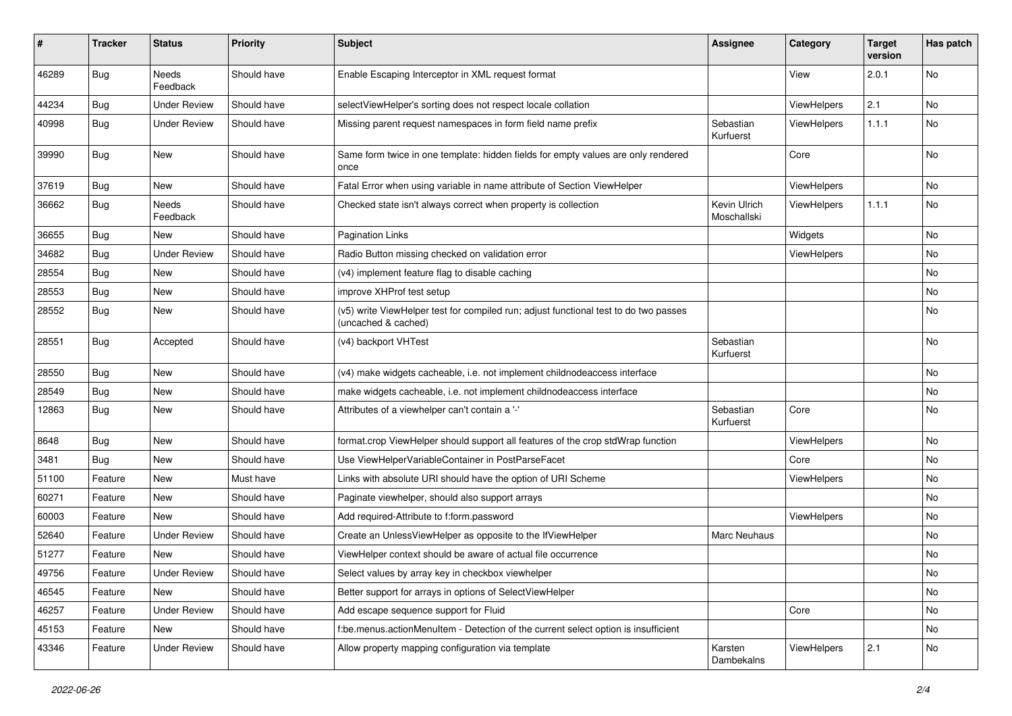| $\pmb{\#}$ | <b>Tracker</b> | <b>Status</b>            | <b>Priority</b> | <b>Subject</b>                                                                                              | Assignee                    | Category    | <b>Target</b><br>version | Has patch |
|------------|----------------|--------------------------|-----------------|-------------------------------------------------------------------------------------------------------------|-----------------------------|-------------|--------------------------|-----------|
| 46289      | Bug            | Needs<br>Feedback        | Should have     | Enable Escaping Interceptor in XML request format                                                           |                             | View        | 2.0.1                    | <b>No</b> |
| 44234      | <b>Bug</b>     | <b>Under Review</b>      | Should have     | selectViewHelper's sorting does not respect locale collation                                                |                             | ViewHelpers | 2.1                      | No        |
| 40998      | Bug            | <b>Under Review</b>      | Should have     | Missing parent request namespaces in form field name prefix                                                 | Sebastian<br>Kurfuerst      | ViewHelpers | 1.1.1                    | No        |
| 39990      | Bug            | New                      | Should have     | Same form twice in one template: hidden fields for empty values are only rendered<br>once                   |                             | Core        |                          | No        |
| 37619      | Bug            | New                      | Should have     | Fatal Error when using variable in name attribute of Section ViewHelper                                     |                             | ViewHelpers |                          | No        |
| 36662      | Bug            | <b>Needs</b><br>Feedback | Should have     | Checked state isn't always correct when property is collection                                              | Kevin Ulrich<br>Moschallski | ViewHelpers | 1.1.1                    | No        |
| 36655      | Bug            | New                      | Should have     | <b>Pagination Links</b>                                                                                     |                             | Widgets     |                          | No        |
| 34682      | Bug            | <b>Under Review</b>      | Should have     | Radio Button missing checked on validation error                                                            |                             | ViewHelpers |                          | No        |
| 28554      | Bug            | New                      | Should have     | (v4) implement feature flag to disable caching                                                              |                             |             |                          | No        |
| 28553      | Bug            | New                      | Should have     | improve XHProf test setup                                                                                   |                             |             |                          | No.       |
| 28552      | Bug            | New                      | Should have     | (v5) write ViewHelper test for compiled run; adjust functional test to do two passes<br>(uncached & cached) |                             |             |                          | No        |
| 28551      | Bug            | Accepted                 | Should have     | (v4) backport VHTest                                                                                        | Sebastian<br>Kurfuerst      |             |                          | No        |
| 28550      | Bug            | New                      | Should have     | (v4) make widgets cacheable, i.e. not implement childnodeaccess interface                                   |                             |             |                          | No        |
| 28549      | Bug            | New                      | Should have     | make widgets cacheable, i.e. not implement childnodeaccess interface                                        |                             |             |                          | No        |
| 12863      | Bug            | New                      | Should have     | Attributes of a viewhelper can't contain a '-'                                                              | Sebastian<br>Kurfuerst      | Core        |                          | No        |
| 8648       | <b>Bug</b>     | New                      | Should have     | format.crop ViewHelper should support all features of the crop stdWrap function                             |                             | ViewHelpers |                          | No        |
| 3481       | <b>Bug</b>     | New                      | Should have     | Use ViewHelperVariableContainer in PostParseFacet                                                           |                             | Core        |                          | No        |
| 51100      | Feature        | New                      | Must have       | Links with absolute URI should have the option of URI Scheme                                                |                             | ViewHelpers |                          | No        |
| 60271      | Feature        | New                      | Should have     | Paginate viewhelper, should also support arrays                                                             |                             |             |                          | No        |
| 60003      | Feature        | New                      | Should have     | Add required-Attribute to f:form.password                                                                   |                             | ViewHelpers |                          | No        |
| 52640      | Feature        | <b>Under Review</b>      | Should have     | Create an UnlessViewHelper as opposite to the IfViewHelper                                                  | <b>Marc Neuhaus</b>         |             |                          | No        |
| 51277      | Feature        | New                      | Should have     | ViewHelper context should be aware of actual file occurrence                                                |                             |             |                          | No        |
| 49756      | Feature        | <b>Under Review</b>      | Should have     | Select values by array key in checkbox viewhelper                                                           |                             |             |                          | No        |
| 46545      | Feature        | New                      | Should have     | Better support for arrays in options of SelectViewHelper                                                    |                             |             |                          | No        |
| 46257      | Feature        | <b>Under Review</b>      | Should have     | Add escape sequence support for Fluid                                                                       |                             | Core        |                          | No        |
| 45153      | Feature        | New                      | Should have     | f:be.menus.actionMenuItem - Detection of the current select option is insufficient                          |                             |             |                          | No        |
| 43346      | Feature        | <b>Under Review</b>      | Should have     | Allow property mapping configuration via template                                                           | Karsten<br>Dambekalns       | ViewHelpers | 2.1                      | No        |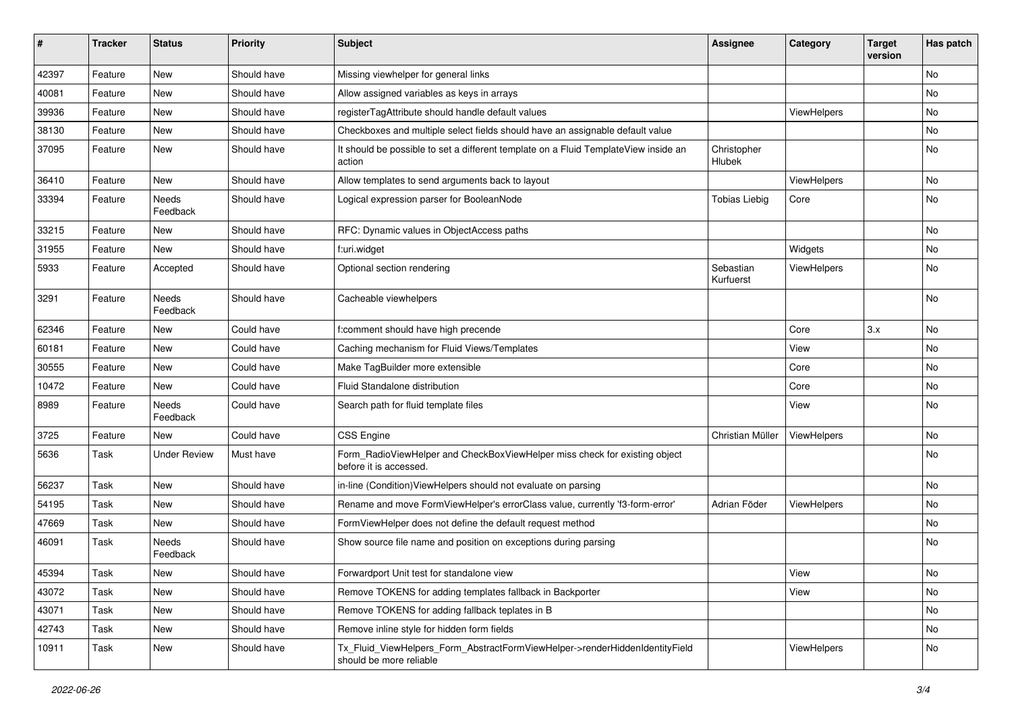| ∦     | <b>Tracker</b> | <b>Status</b>       | <b>Priority</b> | <b>Subject</b>                                                                                         | <b>Assignee</b>        | Category    | <b>Target</b><br>version | Has patch |
|-------|----------------|---------------------|-----------------|--------------------------------------------------------------------------------------------------------|------------------------|-------------|--------------------------|-----------|
| 42397 | Feature        | New                 | Should have     | Missing viewhelper for general links                                                                   |                        |             |                          | No        |
| 40081 | Feature        | New                 | Should have     | Allow assigned variables as keys in arrays                                                             |                        |             |                          | No        |
| 39936 | Feature        | New                 | Should have     | registerTagAttribute should handle default values                                                      |                        | ViewHelpers |                          | No        |
| 38130 | Feature        | New                 | Should have     | Checkboxes and multiple select fields should have an assignable default value                          |                        |             |                          | No        |
| 37095 | Feature        | New                 | Should have     | It should be possible to set a different template on a Fluid TemplateView inside an<br>action          | Christopher<br>Hlubek  |             |                          | No        |
| 36410 | Feature        | New                 | Should have     | Allow templates to send arguments back to layout                                                       |                        | ViewHelpers |                          | No        |
| 33394 | Feature        | Needs<br>Feedback   | Should have     | Logical expression parser for BooleanNode                                                              | <b>Tobias Liebig</b>   | Core        |                          | No        |
| 33215 | Feature        | New                 | Should have     | RFC: Dynamic values in ObjectAccess paths                                                              |                        |             |                          | No        |
| 31955 | Feature        | New                 | Should have     | f:uri.widget                                                                                           |                        | Widgets     |                          | No        |
| 5933  | Feature        | Accepted            | Should have     | Optional section rendering                                                                             | Sebastian<br>Kurfuerst | ViewHelpers |                          | No        |
| 3291  | Feature        | Needs<br>Feedback   | Should have     | Cacheable viewhelpers                                                                                  |                        |             |                          | No        |
| 62346 | Feature        | New                 | Could have      | f:comment should have high precende                                                                    |                        | Core        | 3.x                      | No        |
| 60181 | Feature        | New                 | Could have      | Caching mechanism for Fluid Views/Templates                                                            |                        | View        |                          | No        |
| 30555 | Feature        | New                 | Could have      | Make TagBuilder more extensible                                                                        |                        | Core        |                          | No        |
| 10472 | Feature        | New                 | Could have      | <b>Fluid Standalone distribution</b>                                                                   |                        | Core        |                          | No        |
| 8989  | Feature        | Needs<br>Feedback   | Could have      | Search path for fluid template files                                                                   |                        | View        |                          | No        |
| 3725  | Feature        | New                 | Could have      | <b>CSS Engine</b>                                                                                      | Christian Müller       | ViewHelpers |                          | No        |
| 5636  | Task           | <b>Under Review</b> | Must have       | Form_RadioViewHelper and CheckBoxViewHelper miss check for existing object<br>before it is accessed.   |                        |             |                          | No        |
| 56237 | Task           | New                 | Should have     | in-line (Condition) ViewHelpers should not evaluate on parsing                                         |                        |             |                          | No        |
| 54195 | Task           | New                 | Should have     | Rename and move FormViewHelper's errorClass value, currently 'f3-form-error'                           | Adrian Föder           | ViewHelpers |                          | No        |
| 47669 | Task           | New                 | Should have     | FormViewHelper does not define the default request method                                              |                        |             |                          | No        |
| 46091 | Task           | Needs<br>Feedback   | Should have     | Show source file name and position on exceptions during parsing                                        |                        |             |                          | No        |
| 45394 | Task           | New                 | Should have     | Forwardport Unit test for standalone view                                                              |                        | View        |                          | No        |
| 43072 | Task           | New                 | Should have     | Remove TOKENS for adding templates fallback in Backporter                                              |                        | View        |                          | No        |
| 43071 | Task           | New                 | Should have     | Remove TOKENS for adding fallback teplates in B                                                        |                        |             |                          | No        |
| 42743 | Task           | New                 | Should have     | Remove inline style for hidden form fields                                                             |                        |             |                          | No        |
| 10911 | Task           | New                 | Should have     | Tx_Fluid_ViewHelpers_Form_AbstractFormViewHelper->renderHiddenIdentityField<br>should be more reliable |                        | ViewHelpers |                          | No        |